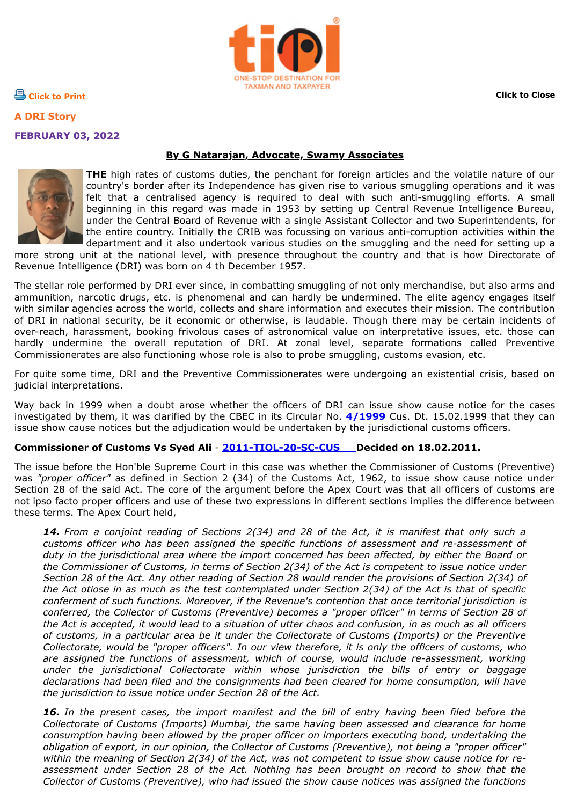

**[Click to Print](javascript:print()) [Click to Close](javascript:window.close())**

**A DRI Story FEBRUARY 03, 2022**

## **By G Natarajan, Advocate, Swamy Associates**



**THE** high rates of customs duties, the penchant for foreign articles and the volatile nature of our country's border after its Independence has given rise to various smuggling operations and it was felt that a centralised agency is required to deal with such anti-smuggling efforts. A small beginning in this regard was made in 1953 by setting up Central Revenue Intelligence Bureau, under the Central Board of Revenue with a single Assistant Collector and two Superintendents, for the entire country. Initially the CRIB was focussing on various anti-corruption activities within the department and it also undertook various studies on the smuggling and the need for setting up a

more strong unit at the national level, with presence throughout the country and that is how Directorate of Revenue Intelligence (DRI) was born on 4 th December 1957.

The stellar role performed by DRI ever since, in combatting smuggling of not only merchandise, but also arms and ammunition, narcotic drugs, etc. is phenomenal and can hardly be undermined. The elite agency engages itself with similar agencies across the world, collects and share information and executes their mission. The contribution of DRI in national security, be it economic or otherwise, is laudable. Though there may be certain incidents of over-reach, harassment, booking frivolous cases of astronomical value on interpretative issues, etc. those can hardly undermine the overall reputation of DRI. At zonal level, separate formations called Preventive Commissionerates are also functioning whose role is also to probe smuggling, customs evasion, etc.

For quite some time, DRI and the Preventive Commissionerates were undergoing an existential crisis, based on judicial interpretations.

Way back in 1999 when a doubt arose whether the officers of DRI can issue show cause notice for the cases investigated by them, it was clarified by the CBEC in its Circular No. **[4/1999](https://taxindiaonline.com/RC2/notDesc.php?MpoQSrPnM=MTMyNDA=)** Cus. Dt. 15.02.1999 that they can issue show cause notices but the adjudication would be undertaken by the jurisdictional customs officers.

## **Commissioner of Customs Vs Syed Ali** - **[2011-TIOL-20-SC-CUS](https://taxindiaonline.com/RC2/subCatDesc.php3?subCatDisp_Id=26&filename=legal/sc/2011/2011-TIOL-20-SC-CUS.htm) Decided on 18.02.2011.**

The issue before the Hon'ble Supreme Court in this case was whether the Commissioner of Customs (Preventive) was *"proper officer"* as defined in Section 2 (34) of the Customs Act, 1962, to issue show cause notice under Section 28 of the said Act. The core of the argument before the Apex Court was that all officers of customs are not ipso facto proper officers and use of these two expressions in different sections implies the difference between these terms. The Apex Court held,

*14. From a conjoint reading of Sections 2(34) and 28 of the Act, it is manifest that only such a customs officer who has been assigned the specific functions of assessment and re-assessment of duty in the jurisdictional area where the import concerned has been affected, by either the Board or the Commissioner of Customs, in terms of Section 2(34) of the Act is competent to issue notice under Section 28 of the Act. Any other reading of Section 28 would render the provisions of Section 2(34) of the Act otiose in as much as the test contemplated under Section 2(34) of the Act is that of specific conferment of such functions. Moreover, if the Revenue's contention that once territorial jurisdiction is conferred, the Collector of Customs (Preventive) becomes a "proper officer" in terms of Section 28 of the Act is accepted, it would lead to a situation of utter chaos and confusion, in as much as all officers of customs, in a particular area be it under the Collectorate of Customs (Imports) or the Preventive Collectorate, would be "proper officers". In our view therefore, it is only the officers of customs, who are assigned the functions of assessment, which of course, would include re-assessment, working under the jurisdictional Collectorate within whose jurisdiction the bills of entry or baggage declarations had been filed and the consignments had been cleared for home consumption, will have the jurisdiction to issue notice under Section 28 of the Act.*

*16. In the present cases, the import manifest and the bill of entry having been filed before the Collectorate of Customs (Imports) Mumbai, the same having been assessed and clearance for home consumption having been allowed by the proper officer on importers executing bond, undertaking the obligation of export, in our opinion, the Collector of Customs (Preventive), not being a "proper officer"* within the meaning of Section 2(34) of the Act, was not competent to *issue show cause notice for reassessment under Section 28 of the Act. Nothing has been brought on record to show that the Collector of Customs (Preventive), who had issued the show cause notices was assigned the functions*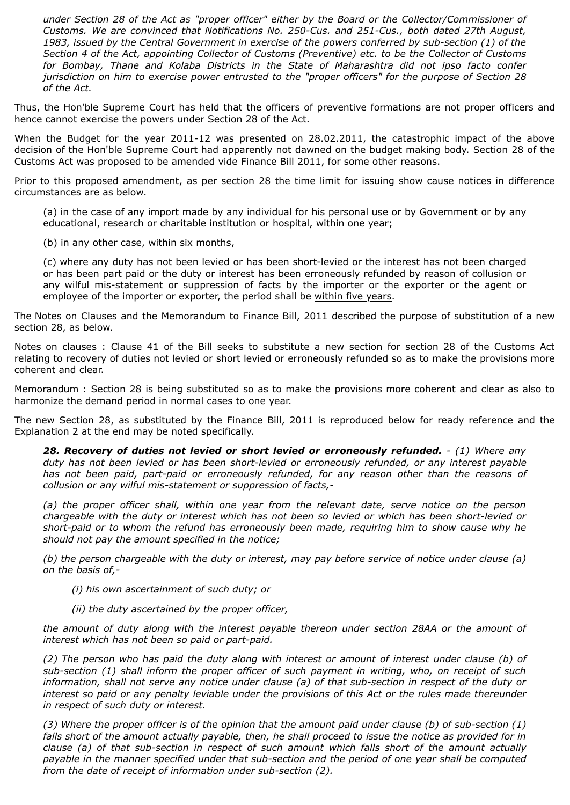*under Section 28 of the Act as "proper officer" either by the Board or the Collector/Commissioner of Customs. We are convinced that Notifications No. 250-Cus. and 251-Cus., both dated 27th August, 1983, issued by the Central Government in exercise of the powers conferred by sub-section (1) of the Section 4 of the Act, appointing Collector of Customs (Preventive) etc. to be the Collector of Customs for Bombay, Thane and Kolaba Districts in the State of Maharashtra did not ipso facto confer jurisdiction on him to exercise power entrusted to the "proper officers" for the purpose of Section 28 of the Act.*

Thus, the Hon'ble Supreme Court has held that the officers of preventive formations are not proper officers and hence cannot exercise the powers under Section 28 of the Act.

When the Budget for the year 2011-12 was presented on 28.02.2011, the catastrophic impact of the above decision of the Hon'ble Supreme Court had apparently not dawned on the budget making body. Section 28 of the Customs Act was proposed to be amended vide Finance Bill 2011, for some other reasons.

Prior to this proposed amendment, as per section 28 the time limit for issuing show cause notices in difference circumstances are as below.

(a) in the case of any import made by any individual for his personal use or by Government or by any educational, research or charitable institution or hospital, within one year;

(b) in any other case, within six months,

(c) where any duty has not been levied or has been short-levied or the interest has not been charged or has been part paid or the duty or interest has been erroneously refunded by reason of collusion or any wilful mis-statement or suppression of facts by the importer or the exporter or the agent or employee of the importer or exporter, the period shall be within five years.

The Notes on Clauses and the Memorandum to Finance Bill, 2011 described the purpose of substitution of a new section 28, as below.

Notes on clauses : Clause 41 of the Bill seeks to substitute a new section for section 28 of the Customs Act relating to recovery of duties not levied or short levied or erroneously refunded so as to make the provisions more coherent and clear.

Memorandum : Section 28 is being substituted so as to make the provisions more coherent and clear as also to harmonize the demand period in normal cases to one year.

The new Section 28, as substituted by the Finance Bill, 2011 is reproduced below for ready reference and the Explanation 2 at the end may be noted specifically.

*28. Recovery of duties not levied or short levied or erroneously refunded. - (1) Where any duty has not been levied or has been short-levied or erroneously refunded, or any interest payable has not been paid, part-paid or erroneously refunded, for any reason other than the reasons of collusion or any wilful mis-statement or suppression of facts,-*

*(a) the proper officer shall, within one year from the relevant date, serve notice on the person chargeable with the duty or interest which has not been so levied or which has been short-levied or short-paid or to whom the refund has erroneously been made, requiring him to show cause why he should not pay the amount specified in the notice;*

*(b) the person chargeable with the duty or interest, may pay before service of notice under clause (a) on the basis of,-*

*(i) his own ascertainment of such duty; or*

*(ii) the duty ascertained by the proper officer,*

*the amount of duty along with the interest payable thereon under section 28AA or the amount of interest which has not been so paid or part-paid.*

*(2) The person who has paid the duty along with interest or amount of interest under clause (b) of sub-section (1) shall inform the proper officer of such payment in writing, who, on receipt of such information, shall not serve any notice under clause (a) of that sub-section in respect of the duty or interest so paid or any penalty leviable under the provisions of this Act or the rules made thereunder in respect of such duty or interest.*

*(3) Where the proper officer is of the opinion that the amount paid under clause (b) of sub-section (1) falls short of the amount actually payable, then, he shall proceed to issue the notice as provided for in clause (a) of that sub-section in respect of such amount which falls short of the amount actually payable in the manner specified under that sub-section and the period of one year shall be computed from the date of receipt of information under sub-section (2).*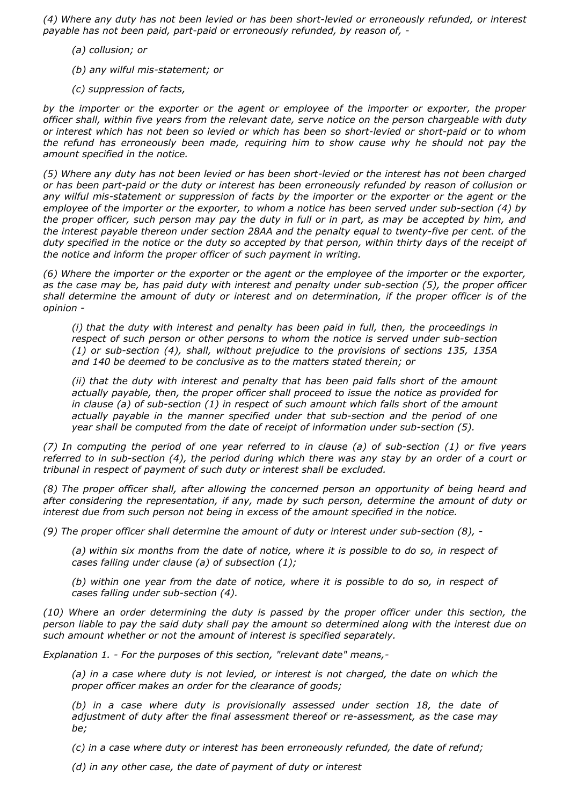*(4) Where any duty has not been levied or has been short-levied or erroneously refunded, or interest payable has not been paid, part-paid or erroneously refunded, by reason of, -*

- *(a) collusion; or*
- *(b) any wilful mis-statement; or*
- *(c) suppression of facts,*

*by the importer or the exporter or the agent or employee of the importer or exporter, the proper officer shall, within five years from the relevant date, serve notice on the person chargeable with duty or interest which has not been so levied or which has been so short-levied or short-paid or to whom the refund has erroneously been made, requiring him to show cause why he should not pay the amount specified in the notice.*

*(5) Where any duty has not been levied or has been short-levied or the interest has not been charged or has been part-paid or the duty or interest has been erroneously refunded by reason of collusion or any wilful mis-statement or suppression of facts by the importer or the exporter or the agent or the employee of the importer or the exporter, to whom a notice has been served under sub-section (4) by the proper officer, such person may pay the duty in full or in part, as may be accepted by him, and the interest payable thereon under section 28AA and the penalty equal to twenty-five per cent. of the duty specified in the notice or the duty so accepted by that person, within thirty days of the receipt of the notice and inform the proper officer of such payment in writing.*

*(6) Where the importer or the exporter or the agent or the employee of the importer or the exporter, as the case may be, has paid duty with interest and penalty under sub-section (5), the proper officer shall determine the amount of duty or interest and on determination, if the proper officer is of the opinion -*

*(i) that the duty with interest and penalty has been paid in full, then, the proceedings in respect of such person or other persons to whom the notice is served under sub-section (1) or sub-section (4), shall, without prejudice to the provisions of sections 135, 135A and 140 be deemed to be conclusive as to the matters stated therein; or*

*(ii) that the duty with interest and penalty that has been paid falls short of the amount actually payable, then, the proper officer shall proceed to issue the notice as provided for in clause (a) of sub-section (1) in respect of such amount which falls short of the amount actually payable in the manner specified under that sub-section and the period of one year shall be computed from the date of receipt of information under sub-section (5).*

*(7) In computing the period of one year referred to in clause (a) of sub-section (1) or five years referred to in sub-section (4), the period during which there was any stay by an order of a court or tribunal in respect of payment of such duty or interest shall be excluded.*

*(8) The proper officer shall, after allowing the concerned person an opportunity of being heard and after considering the representation, if any, made by such person, determine the amount of duty or interest due from such person not being in excess of the amount specified in the notice.*

*(9) The proper officer shall determine the amount of duty or interest under sub-section (8), -*

*(a) within six months from the date of notice, where it is possible to do so, in respect of cases falling under clause (a) of subsection (1);*

*(b) within one year from the date of notice, where it is possible to do so, in respect of cases falling under sub-section (4).*

*(10) Where an order determining the duty is passed by the proper officer under this section, the person liable to pay the said duty shall pay the amount so determined along with the interest due on such amount whether or not the amount of interest is specified separately.*

*Explanation 1. - For the purposes of this section, "relevant date" means,-*

*(a) in a case where duty is not levied, or interest is not charged, the date on which the proper officer makes an order for the clearance of goods;*

*(b) in a case where duty is provisionally assessed under section 18, the date of adjustment of duty after the final assessment thereof or re-assessment, as the case may be;*

*(c) in a case where duty or interest has been erroneously refunded, the date of refund;*

*(d) in any other case, the date of payment of duty or interest*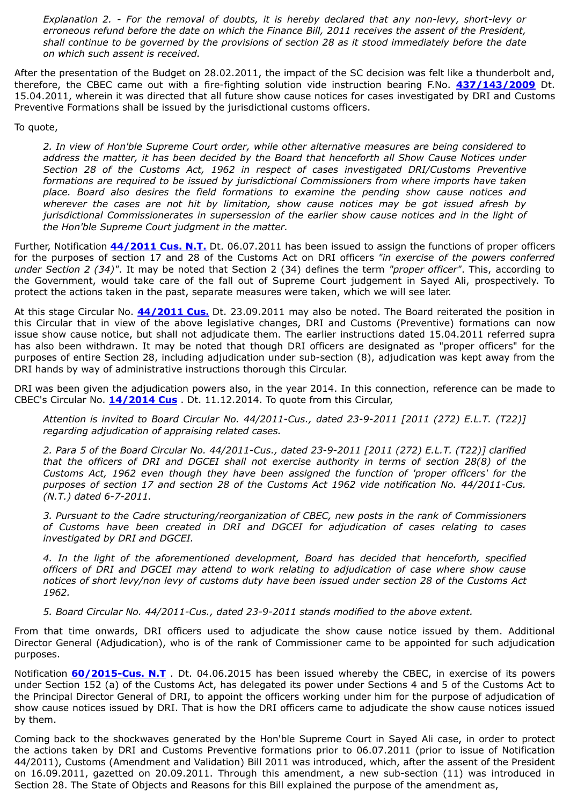*Explanation 2. - For the removal of doubts, it is hereby declared that any non-levy, short-levy or erroneous refund before the date on which the Finance Bill, 2011 receives the assent of the President, shall continue to be governed by the provisions of section 28 as it stood immediately before the date on which such assent is received.*

After the presentation of the Budget on 28.02.2011, the impact of the SC decision was felt like a thunderbolt and, therefore, the CBEC came out with a fire-fighting solution vide instruction bearing F.No. **[437/143/2009](https://taxindiaonline.com/RC2/notDesc.php?MpoQSrPnM=NTQwMw==)** Dt. 15.04.2011, wherein it was directed that all future show cause notices for cases investigated by DRI and Customs Preventive Formations shall be issued by the jurisdictional customs officers.

To quote,

*2. In view of Hon'ble Supreme Court order, while other alternative measures are being considered to address the matter, it has been decided by the Board that henceforth all Show Cause Notices under Section 28 of the Customs Act, 1962 in respect of cases investigated DRI/Customs Preventive formations are required to be issued by jurisdictional Commissioners from where imports have taken place. Board also desires the field formations to examine the pending show cause notices and wherever the cases are not hit by limitation, show cause notices may be got issued afresh by jurisdictional Commissionerates in supersession of the earlier show cause notices and in the light of the Hon'ble Supreme Court judgment in the matter.*

Further, Notification **[44/2011 Cus. N.T.](https://taxindiaonline.com/RC2/notDesc.php?MpoQSrPnM=NjUyNw==)** Dt. 06.07.2011 has been issued to assign the functions of proper officers for the purposes of section 17 and 28 of the Customs Act on DRI officers *"in exercise of the powers conferred under Section 2 (34)"*. It may be noted that Section 2 (34) defines the term *"proper officer"*. This, according to the Government, would take care of the fall out of Supreme Court judgement in Sayed Ali, prospectively. To protect the actions taken in the past, separate measures were taken, which we will see later.

At this stage Circular No. **[44/2011 Cus.](https://taxindiaonline.com/RC2/notDesc.php?MpoQSrPnM=NTM4MQ==)** Dt. 23.09.2011 may also be noted. The Board reiterated the position in this Circular that in view of the above legislative changes, DRI and Customs (Preventive) formations can now issue show cause notice, but shall not adjudicate them. The earlier instructions dated 15.04.2011 referred supra has also been withdrawn. It may be noted that though DRI officers are designated as "proper officers" for the purposes of entire Section 28, including adjudication under sub-section (8), adjudication was kept away from the DRI hands by way of administrative instructions thorough this Circular.

DRI was been given the adjudication powers also, in the year 2014. In this connection, reference can be made to CBEC's Circular No. **[14/2014 Cus](https://taxindiaonline.com/RC2/notDesc.php?MpoQSrPnM=MTczMzY=)** . Dt. 11.12.2014. To quote from this Circular,

*Attention is invited to Board Circular No. 44/2011-Cus., dated 23-9-2011 [2011 (272) E.L.T. (T22)] regarding adjudication of appraising related cases.*

*2. Para 5 of the Board Circular No. 44/2011-Cus., dated 23-9-2011 [2011 (272) E.L.T. (T22)] clarified that the officers of DRI and DGCEI shall not exercise authority in terms of section 28(8) of the Customs Act, 1962 even though they have been assigned the function of 'proper officers' for the purposes of section 17 and section 28 of the Customs Act 1962 vide notification No. 44/2011-Cus. (N.T.) dated 6-7-2011.*

*3. Pursuant to the Cadre structuring/reorganization of CBEC, new posts in the rank of Commissioners of Customs have been created in DRI and DGCEI for adjudication of cases relating to cases investigated by DRI and DGCEI.*

*4. In the light of the aforementioned development, Board has decided that henceforth, specified officers of DRI and DGCEI may attend to work relating to adjudication of case where show cause notices of short levy/non levy of customs duty have been issued under section 28 of the Customs Act 1962.*

*5. Board Circular No. 44/2011-Cus., dated 23-9-2011 stands modified to the above extent.*

From that time onwards, DRI officers used to adjudicate the show cause notice issued by them. Additional Director General (Adjudication), who is of the rank of Commissioner came to be appointed for such adjudication purposes.

Notification **[60/2015-Cus. N.T](https://taxindiaonline.com/RC2/notDesc.php?MpoQSrPnM=MTgxNTc=)** . Dt. 04.06.2015 has been issued whereby the CBEC, in exercise of its powers under Section 152 (a) of the Customs Act, has delegated its power under Sections 4 and 5 of the Customs Act to the Principal Director General of DRI, to appoint the officers working under him for the purpose of adjudication of show cause notices issued by DRI. That is how the DRI officers came to adjudicate the show cause notices issued by them.

Coming back to the shockwaves generated by the Hon'ble Supreme Court in Sayed Ali case, in order to protect the actions taken by DRI and Customs Preventive formations prior to 06.07.2011 (prior to issue of Notification 44/2011), Customs (Amendment and Validation) Bill 2011 was introduced, which, after the assent of the President on 16.09.2011, gazetted on 20.09.2011. Through this amendment, a new sub-section (11) was introduced in Section 28. The State of Objects and Reasons for this Bill explained the purpose of the amendment as,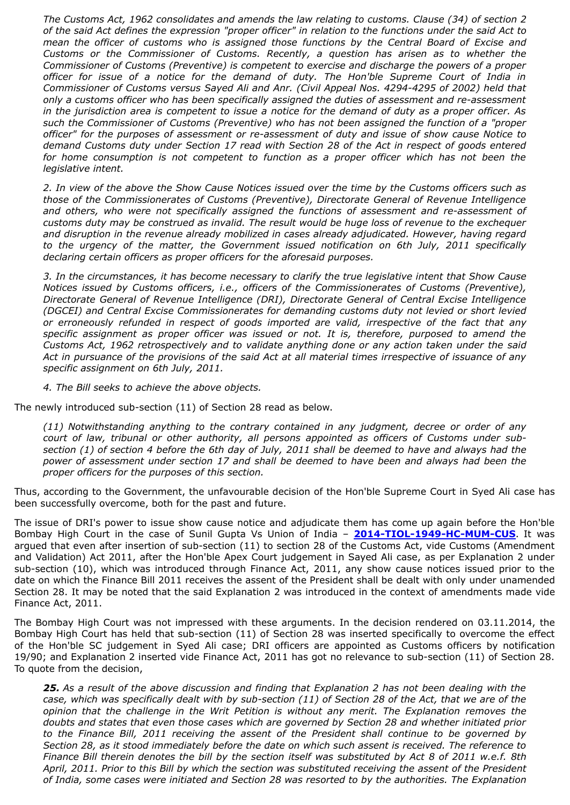*The Customs Act, 1962 consolidates and amends the law relating to customs. Clause (34) of section 2 of the said Act defines the expression "proper officer" in relation to the functions under the said Act to mean the officer of customs who is assigned those functions by the Central Board of Excise and Customs or the Commissioner of Customs. Recently, a question has arisen as to whether the Commissioner of Customs (Preventive) is competent to exercise and discharge the powers of a proper officer for issue of a notice for the demand of duty. The Hon'ble Supreme Court of India in Commissioner of Customs versus Sayed Ali and Anr. (Civil Appeal Nos. 4294-4295 of 2002) held that only a customs officer who has been specifically assigned the duties of assessment and re-assessment in the jurisdiction area is competent to issue a notice for the demand of duty as a proper officer. As such the Commissioner of Customs (Preventive) who has not been assigned the function of a "proper officer" for the purposes of assessment or re-assessment of duty and issue of show cause Notice to demand Customs duty under Section 17 read with Section 28 of the Act in respect of goods entered for home consumption is not competent to function as a proper officer which has not been the legislative intent.*

*2. In view of the above the Show Cause Notices issued over the time by the Customs officers such as those of the Commissionerates of Customs (Preventive), Directorate General of Revenue Intelligence and others, who were not specifically assigned the functions of assessment and re-assessment of customs duty may be construed as invalid. The result would be huge loss of revenue to the exchequer and disruption in the revenue already mobilized in cases already adjudicated. However, having regard to the urgency of the matter, the Government issued notification on 6th July, 2011 specifically declaring certain officers as proper officers for the aforesaid purposes.*

*3. In the circumstances, it has become necessary to clarify the true legislative intent that Show Cause Notices issued by Customs officers, i.e., officers of the Commissionerates of Customs (Preventive), Directorate General of Revenue Intelligence (DRI), Directorate General of Central Excise Intelligence (DGCEI) and Central Excise Commissionerates for demanding customs duty not levied or short levied or erroneously refunded in respect of goods imported are valid, irrespective of the fact that any specific assignment as proper officer was issued or not. It is, therefore, purposed to amend the Customs Act, 1962 retrospectively and to validate anything done or any action taken under the said Act in pursuance of the provisions of the said Act at all material times irrespective of issuance of any specific assignment on 6th July, 2011.*

*4. The Bill seeks to achieve the above objects.*

The newly introduced sub-section (11) of Section 28 read as below.

*(11) Notwithstanding anything to the contrary contained in any judgment, decree or order of any court of law, tribunal or other authority, all persons appointed as officers of Customs under subsection (1) of section 4 before the 6th day of July, 2011 shall be deemed to have and always had the power of assessment under section 17 and shall be deemed to have been and always had been the proper officers for the purposes of this section.*

Thus, according to the Government, the unfavourable decision of the Hon'ble Supreme Court in Syed Ali case has been successfully overcome, both for the past and future.

The issue of DRI's power to issue show cause notice and adjudicate them has come up again before the Hon'ble Bombay High Court in the case of Sunil Gupta Vs Union of India – **[2014-TIOL-1949-HC-MUM-CUS](https://taxindiaonline.com/RC2/caseLawDet.php?QoPmnXyZ=OTczNTY=)**. It was argued that even after insertion of sub-section (11) to section 28 of the Customs Act, vide Customs (Amendment and Validation) Act 2011, after the Hon'ble Apex Court judgement in Sayed Ali case, as per Explanation 2 under sub-section (10), which was introduced through Finance Act, 2011, any show cause notices issued prior to the date on which the Finance Bill 2011 receives the assent of the President shall be dealt with only under unamended Section 28. It may be noted that the said Explanation 2 was introduced in the context of amendments made vide Finance Act, 2011.

The Bombay High Court was not impressed with these arguments. In the decision rendered on 03.11.2014, the Bombay High Court has held that sub-section (11) of Section 28 was inserted specifically to overcome the effect of the Hon'ble SC judgement in Syed Ali case; DRI officers are appointed as Customs officers by notification 19/90; and Explanation 2 inserted vide Finance Act, 2011 has got no relevance to sub-section (11) of Section 28. To quote from the decision,

*25. As a result of the above discussion and finding that Explanation 2 has not been dealing with the case, which was specifically dealt with by sub-section (11) of Section 28 of the Act, that we are of the opinion that the challenge in the Writ Petition is without any merit. The Explanation removes the doubts and states that even those cases which are governed by Section 28 and whether initiated prior to the Finance Bill, 2011 receiving the assent of the President shall continue to be governed by Section 28, as it stood immediately before the date on which such assent is received. The reference to Finance Bill therein denotes the bill by the section itself was substituted by Act 8 of 2011 w.e.f. 8th April, 2011. Prior to this Bill by which the section was substituted receiving the assent of the President of India, some cases were initiated and Section 28 was resorted to by the authorities. The Explanation*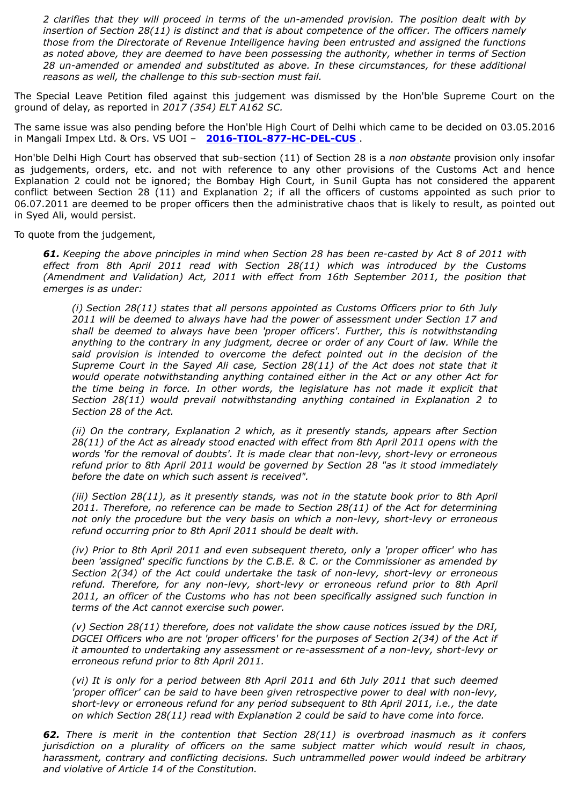*2 clarifies that they will proceed in terms of the un-amended provision. The position dealt with by insertion of Section 28(11) is distinct and that is about competence of the officer. The officers namely those from the Directorate of Revenue Intelligence having been entrusted and assigned the functions as noted above, they are deemed to have been possessing the authority, whether in terms of Section 28 un-amended or amended and substituted as above. In these circumstances, for these additional reasons as well, the challenge to this sub-section must fail.*

The Special Leave Petition filed against this judgement was dismissed by the Hon'ble Supreme Court on the ground of delay, as reported in *2017 (354) ELT A162 SC.*

The same issue was also pending before the Hon'ble High Court of Delhi which came to be decided on 03.05.2016 in Mangali Impex Ltd. & Ors. VS UOI – **[2016-TIOL-877-HC-DEL-CUS](https://taxindiaonline.com/RC2/caseLawDet.php?QoPmnXyZ=MTEzNDE2)** .

Hon'ble Delhi High Court has observed that sub-section (11) of Section 28 is a *non obstante* provision only insofar as judgements, orders, etc. and not with reference to any other provisions of the Customs Act and hence Explanation 2 could not be ignored; the Bombay High Court, in Sunil Gupta has not considered the apparent conflict between Section 28 (11) and Explanation 2; if all the officers of customs appointed as such prior to 06.07.2011 are deemed to be proper officers then the administrative chaos that is likely to result, as pointed out in Syed Ali, would persist.

To quote from the judgement,

*61. Keeping the above principles in mind when Section 28 has been re-casted by Act 8 of 2011 with effect from 8th April 2011 read with Section 28(11) which was introduced by the Customs (Amendment and Validation) Act, 2011 with effect from 16th September 2011, the position that emerges is as under:*

*(i) Section 28(11) states that all persons appointed as Customs Officers prior to 6th July 2011 will be deemed to always have had the power of assessment under Section 17 and shall be deemed to always have been 'proper officers'. Further, this is notwithstanding anything to the contrary in any judgment, decree or order of any Court of law. While the said provision is intended to overcome the defect pointed out in the decision of the Supreme Court in the Sayed Ali case, Section 28(11) of the Act does not state that it would operate notwithstanding anything contained either in the Act or any other Act for the time being in force. In other words, the legislature has not made it explicit that Section 28(11) would prevail notwithstanding anything contained in Explanation 2 to Section 28 of the Act.*

*(ii) On the contrary, Explanation 2 which, as it presently stands, appears after Section 28(11) of the Act as already stood enacted with effect from 8th April 2011 opens with the words 'for the removal of doubts'. It is made clear that non-levy, short-levy or erroneous refund prior to 8th April 2011 would be governed by Section 28 "as it stood immediately before the date on which such assent is received".*

*(iii) Section 28(11), as it presently stands, was not in the statute book prior to 8th April 2011. Therefore, no reference can be made to Section 28(11) of the Act for determining not only the procedure but the very basis on which a non-levy, short-levy or erroneous refund occurring prior to 8th April 2011 should be dealt with.*

*(iv) Prior to 8th April 2011 and even subsequent thereto, only a 'proper officer' who has been 'assigned' specific functions by the C.B.E. & C. or the Commissioner as amended by Section 2(34) of the Act could undertake the task of non-levy, short-levy or erroneous refund. Therefore, for any non-levy, short-levy or erroneous refund prior to 8th April 2011, an officer of the Customs who has not been specifically assigned such function in terms of the Act cannot exercise such power.*

*(v) Section 28(11) therefore, does not validate the show cause notices issued by the DRI, DGCEI Officers who are not 'proper officers' for the purposes of Section 2(34) of the Act if it amounted to undertaking any assessment or re-assessment of a non-levy, short-levy or erroneous refund prior to 8th April 2011.*

*(vi) It is only for a period between 8th April 2011 and 6th July 2011 that such deemed 'proper officer' can be said to have been given retrospective power to deal with non-levy, short-levy or erroneous refund for any period subsequent to 8th April 2011, i.e., the date on which Section 28(11) read with Explanation 2 could be said to have come into force.*

*62. There is merit in the contention that Section 28(11) is overbroad inasmuch as it confers jurisdiction on a plurality of officers on the same subject matter which would result in chaos, harassment, contrary and conflicting decisions. Such untrammelled power would indeed be arbitrary and violative of Article 14 of the Constitution.*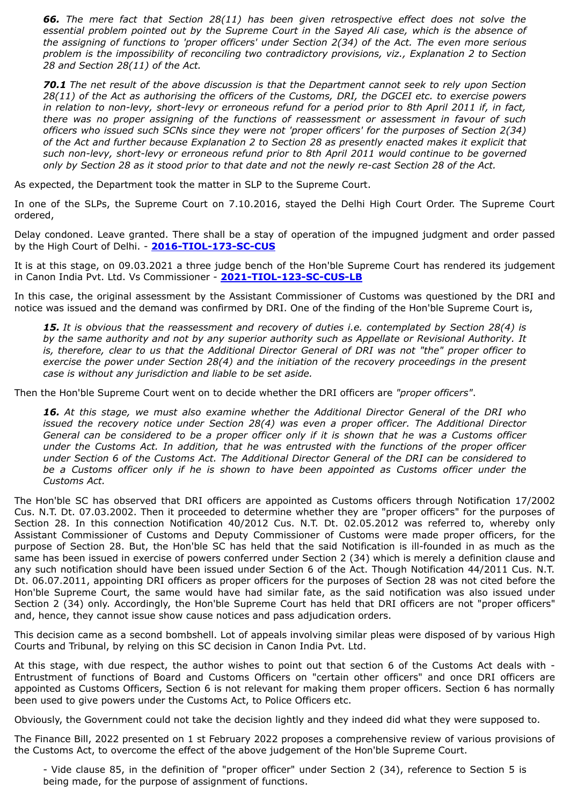*66. The mere fact that Section 28(11) has been given retrospective effect does not solve the essential problem pointed out by the Supreme Court in the Sayed Ali case, which is the absence of the assigning of functions to 'proper officers' under Section 2(34) of the Act. The even more serious problem is the impossibility of reconciling two contradictory provisions, viz., Explanation 2 to Section 28 and Section 28(11) of the Act.*

*70.1 The net result of the above discussion is that the Department cannot seek to rely upon Section 28(11) of the Act as authorising the officers of the Customs, DRI, the DGCEI etc. to exercise powers in relation to non-levy, short-levy or erroneous refund for a period prior to 8th April 2011 if, in fact, there was no proper assigning of the functions of reassessment or assessment in favour of such officers who issued such SCNs since they were not 'proper officers' for the purposes of Section 2(34) of the Act and further because Explanation 2 to Section 28 as presently enacted makes it explicit that such non-levy, short-levy or erroneous refund prior to 8th April 2011 would continue to be governed only by Section 28 as it stood prior to that date and not the newly re-cast Section 28 of the Act.*

As expected, the Department took the matter in SLP to the Supreme Court.

In one of the SLPs, the Supreme Court on 7.10.2016, stayed the Delhi High Court Order. The Supreme Court ordered,

Delay condoned. Leave granted. There shall be a stay of operation of the impugned judgment and order passed by the High Court of Delhi. - **[2016-TIOL-173-SC-CUS](https://taxindiaonline.com/RC2/caseLawDet.php?QoPmnXyZ=MTE4OTIy)**

It is at this stage, on 09.03.2021 a three judge bench of the Hon'ble Supreme Court has rendered its judgement in Canon India Pvt. Ltd. Vs Commissioner - **[2021-TIOL-123-SC-CUS-LB](https://taxindiaonline.com/RC2/caseLawDet.php?QoPmnXyZ=MTY0NjY5)**

In this case, the original assessment by the Assistant Commissioner of Customs was questioned by the DRI and notice was issued and the demand was confirmed by DRI. One of the finding of the Hon'ble Supreme Court is,

*15. It is obvious that the reassessment and recovery of duties i.e. contemplated by Section 28(4) is by the same authority and not by any superior authority such as Appellate or Revisional Authority. It is, therefore, clear to us that the Additional Director General of DRI was not "the" proper officer to exercise the power under Section 28(4) and the initiation of the recovery proceedings in the present case is without any jurisdiction and liable to be set aside.*

Then the Hon'ble Supreme Court went on to decide whether the DRI officers are *"proper officers"*.

*16. At this stage, we must also examine whether the Additional Director General of the DRI who issued the recovery notice under Section 28(4) was even a proper officer. The Additional Director General can be considered to be a proper officer only if it is shown that he was a Customs officer under the Customs Act. In addition, that he was entrusted with the functions of the proper officer under Section 6 of the Customs Act. The Additional Director General of the DRI can be considered to be a Customs officer only if he is shown to have been appointed as Customs officer under the Customs Act.*

The Hon'ble SC has observed that DRI officers are appointed as Customs officers through Notification 17/2002 Cus. N.T. Dt. 07.03.2002. Then it proceeded to determine whether they are "proper officers" for the purposes of Section 28. In this connection Notification 40/2012 Cus. N.T. Dt. 02.05.2012 was referred to, whereby only Assistant Commissioner of Customs and Deputy Commissioner of Customs were made proper officers, for the purpose of Section 28. But, the Hon'ble SC has held that the said Notification is ill-founded in as much as the same has been issued in exercise of powers conferred under Section 2 (34) which is merely a definition clause and any such notification should have been issued under Section 6 of the Act. Though Notification 44/2011 Cus. N.T. Dt. 06.07.2011, appointing DRI officers as proper officers for the purposes of Section 28 was not cited before the Hon'ble Supreme Court, the same would have had similar fate, as the said notification was also issued under Section 2 (34) only. Accordingly, the Hon'ble Supreme Court has held that DRI officers are not "proper officers" and, hence, they cannot issue show cause notices and pass adjudication orders.

This decision came as a second bombshell. Lot of appeals involving similar pleas were disposed of by various High Courts and Tribunal, by relying on this SC decision in Canon India Pvt. Ltd.

At this stage, with due respect, the author wishes to point out that section 6 of the Customs Act deals with - Entrustment of functions of Board and Customs Officers on "certain other officers" and once DRI officers are appointed as Customs Officers, Section 6 is not relevant for making them proper officers. Section 6 has normally been used to give powers under the Customs Act, to Police Officers etc.

Obviously, the Government could not take the decision lightly and they indeed did what they were supposed to.

The Finance Bill, 2022 presented on 1 st February 2022 proposes a comprehensive review of various provisions of the Customs Act, to overcome the effect of the above judgement of the Hon'ble Supreme Court.

- Vide clause 85, in the definition of "proper officer" under Section 2 (34), reference to Section 5 is being made, for the purpose of assignment of functions.